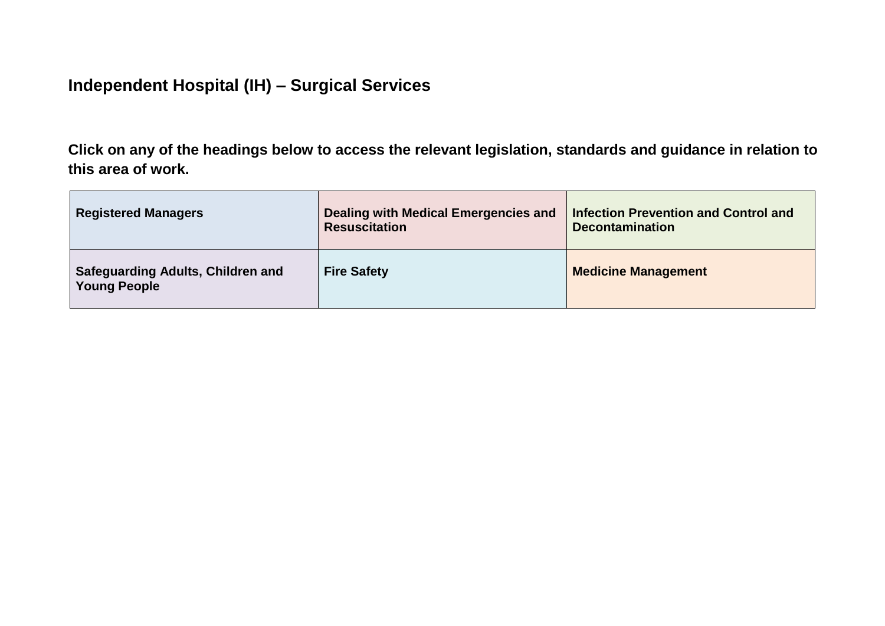## **Independent Hospital (IH) – Surgical Services**

**Click on any of the headings below to access the relevant legislation, standards and guidance in relation to this area of work.**

| <b>Registered Managers</b>                                      | Dealing with Medical Emergencies and<br><b>Resuscitation</b> | <b>Infection Prevention and Control and</b><br><b>Decontamination</b> |
|-----------------------------------------------------------------|--------------------------------------------------------------|-----------------------------------------------------------------------|
| <b>Safeguarding Adults, Children and</b><br><b>Young People</b> | <b>Fire Safety</b>                                           | <b>Medicine Management</b>                                            |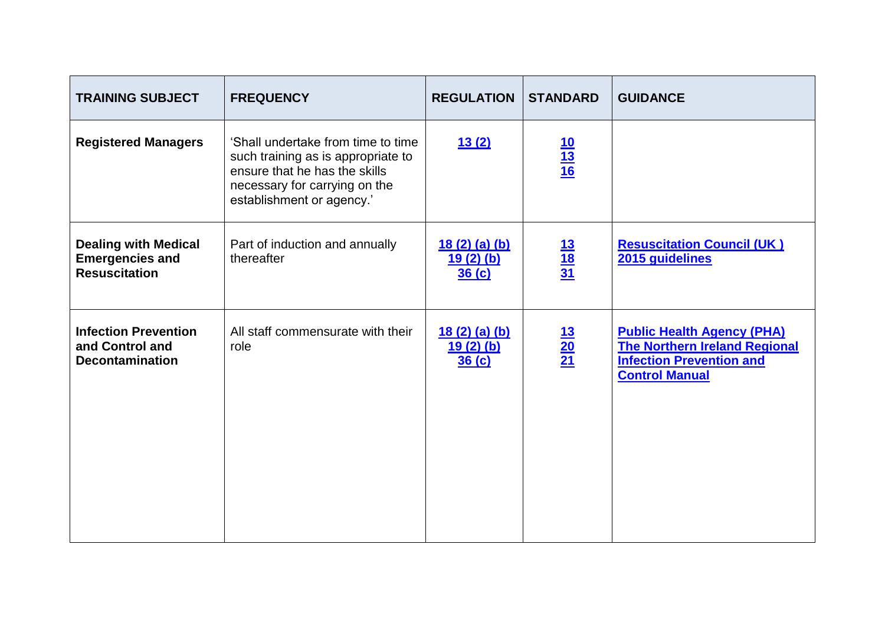<span id="page-1-0"></span>

| <b>TRAINING SUBJECT</b>                                                       | <b>FREQUENCY</b>                                                                                                                                                        | <b>REGULATION</b>                          | <b>STANDARD</b>                    | <b>GUIDANCE</b>                                                                                                                       |
|-------------------------------------------------------------------------------|-------------------------------------------------------------------------------------------------------------------------------------------------------------------------|--------------------------------------------|------------------------------------|---------------------------------------------------------------------------------------------------------------------------------------|
| <b>Registered Managers</b>                                                    | 'Shall undertake from time to time<br>such training as is appropriate to<br>ensure that he has the skills<br>necessary for carrying on the<br>establishment or agency.' | 13(2)                                      | $\frac{10}{13}$ $\frac{13}{16}$    |                                                                                                                                       |
| <b>Dealing with Medical</b><br><b>Emergencies and</b><br><b>Resuscitation</b> | Part of induction and annually<br>thereafter                                                                                                                            | <u>18 (2) (a) (b)</u><br>19(2)(b)<br>36(c) | $\frac{13}{18}$ $\frac{31}{18}$    | <b>Resuscitation Council (UK)</b><br>2015 guidelines                                                                                  |
| <b>Infection Prevention</b><br>and Control and<br><b>Decontamination</b>      | All staff commensurate with their<br>role                                                                                                                               | 18(2)(a)(b)<br>$19(2)$ (b)<br>36(c)        | $\frac{13}{20}$<br>$\frac{21}{21}$ | <b>Public Health Agency (PHA)</b><br><b>The Northern Ireland Regional</b><br><b>Infection Prevention and</b><br><b>Control Manual</b> |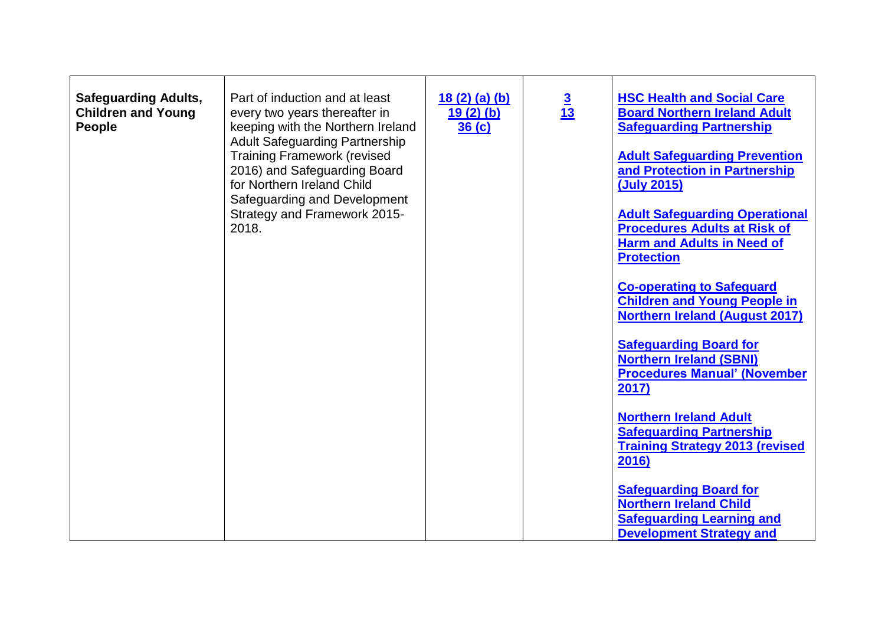<span id="page-2-0"></span>

| <b>Safeguarding Adults,</b><br><b>Children and Young</b><br><b>People</b> | Part of induction and at least<br>every two years thereafter in<br>keeping with the Northern Ireland<br><b>Adult Safeguarding Partnership</b><br><b>Training Framework (revised</b><br>2016) and Safeguarding Board<br>for Northern Ireland Child<br>Safeguarding and Development<br>Strategy and Framework 2015-<br>2018. | 18(2)(a)(b)<br>$19(2)$ (b)<br>36 <sub>(c)</sub> | $\frac{3}{13}$ | <b>HSC Health and Social Care</b><br><b>Board Northern Ireland Adult</b><br><b>Safeguarding Partnership</b><br><b>Adult Safeguarding Prevention</b><br>and Protection in Partnership<br>(July 2015)<br><b>Adult Safeguarding Operational</b><br><b>Procedures Adults at Risk of</b><br><b>Harm and Adults in Need of</b><br><b>Protection</b><br><b>Co-operating to Safeguard</b><br><b>Children and Young People in</b><br><b>Northern Ireland (August 2017)</b><br><b>Safeguarding Board for</b><br><b>Northern Ireland (SBNI)</b><br><b>Procedures Manual' (November</b><br>2017)<br><b>Northern Ireland Adult</b><br><b>Safeguarding Partnership</b><br><b>Training Strategy 2013 (revised</b> |
|---------------------------------------------------------------------------|----------------------------------------------------------------------------------------------------------------------------------------------------------------------------------------------------------------------------------------------------------------------------------------------------------------------------|-------------------------------------------------|----------------|----------------------------------------------------------------------------------------------------------------------------------------------------------------------------------------------------------------------------------------------------------------------------------------------------------------------------------------------------------------------------------------------------------------------------------------------------------------------------------------------------------------------------------------------------------------------------------------------------------------------------------------------------------------------------------------------------|
|                                                                           |                                                                                                                                                                                                                                                                                                                            |                                                 |                | 2016)<br><b>Safeguarding Board for</b><br><b>Northern Ireland Child</b><br><b>Safeguarding Learning and</b><br><b>Development Strategy and</b>                                                                                                                                                                                                                                                                                                                                                                                                                                                                                                                                                     |